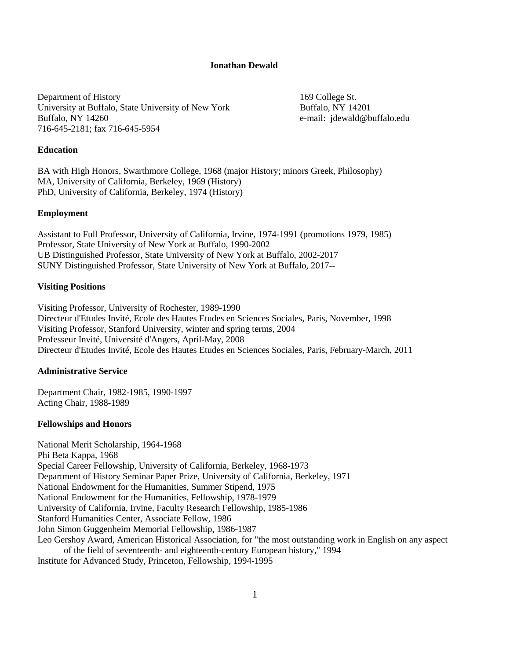#### **Jonathan Dewald**

Department of History 169 College St. University at Buffalo, State University of New York Buffalo, NY 14201 Buffalo, NY 14260 e-mail: jdewald@buffalo.edu 716-645-2181; fax 716-645-5954

#### **Education**

BA with High Honors, Swarthmore College, 1968 (major History; minors Greek, Philosophy) MA, University of California, Berkeley, 1969 (History) PhD, University of California, Berkeley, 1974 (History)

#### **Employment**

Assistant to Full Professor, University of California, Irvine, 1974-1991 (promotions 1979, 1985) Professor, State University of New York at Buffalo, 1990-2002 UB Distinguished Professor, State University of New York at Buffalo, 2002-2017 SUNY Distinguished Professor, State University of New York at Buffalo, 2017--

#### **Visiting Positions**

Visiting Professor, University of Rochester, 1989-1990 Directeur d'Etudes Invité, Ecole des Hautes Etudes en Sciences Sociales, Paris, November, 1998 Visiting Professor, Stanford University, winter and spring terms, 2004 Professeur Invité, Université d'Angers, April-May, 2008 Directeur d'Etudes Invité, Ecole des Hautes Etudes en Sciences Sociales, Paris, February-March, 2011

### **Administrative Service**

Department Chair, 1982-1985, 1990-1997 Acting Chair, 1988-1989

### **Fellowships and Honors**

National Merit Scholarship, 1964-1968 Phi Beta Kappa, 1968 Special Career Fellowship, University of California, Berkeley, 1968-1973 Department of History Seminar Paper Prize, University of California, Berkeley, 1971 National Endowment for the Humanities, Summer Stipend, 1975 National Endowment for the Humanities, Fellowship, 1978-1979 University of California, Irvine, Faculty Research Fellowship, 1985-1986 Stanford Humanities Center, Associate Fellow, 1986 John Simon Guggenheim Memorial Fellowship, 1986-1987 Leo Gershoy Award, American Historical Association, for "the most outstanding work in English on any aspect of the field of seventeenth- and eighteenth-century European history," 1994 Institute for Advanced Study, Princeton, Fellowship, 1994-1995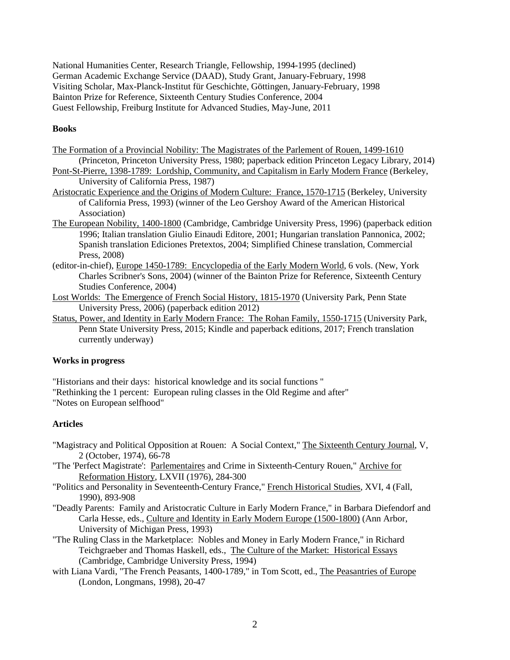National Humanities Center, Research Triangle, Fellowship, 1994-1995 (declined) German Academic Exchange Service (DAAD), Study Grant, January-February, 1998 Visiting Scholar, Max-Planck-Institut für Geschichte, Göttingen, January-February, 1998 Bainton Prize for Reference, Sixteenth Century Studies Conference, 2004 Guest Fellowship, Freiburg Institute for Advanced Studies, May-June, 2011

# **Books**

- The Formation of a Provincial Nobility: The Magistrates of the Parlement of Rouen, 1499-1610 (Princeton, Princeton University Press, 1980; paperback edition Princeton Legacy Library, 2014)
- Pont-St-Pierre, 1398-1789: Lordship, Community, and Capitalism in Early Modern France (Berkeley, University of California Press, 1987)
- Aristocratic Experience and the Origins of Modern Culture: France, 1570-1715 (Berkeley, University of California Press, 1993) (winner of the Leo Gershoy Award of the American Historical Association)
- The European Nobility, 1400-1800 (Cambridge, Cambridge University Press, 1996) (paperback edition 1996; Italian translation Giulio Einaudi Editore, 2001; Hungarian translation Pannonica, 2002; Spanish translation Ediciones Pretextos, 2004; Simplified Chinese translation, Commercial Press, 2008)
- (editor-in-chief), Europe 1450-1789: Encyclopedia of the Early Modern World, 6 vols. (New, York Charles Scribner's Sons, 2004) (winner of the Bainton Prize for Reference, Sixteenth Century Studies Conference, 2004)
- Lost Worlds: The Emergence of French Social History, 1815-1970 (University Park, Penn State University Press, 2006) (paperback edition 2012)
- Status, Power, and Identity in Early Modern France: The Rohan Family, 1550-1715 (University Park, Penn State University Press, 2015; Kindle and paperback editions, 2017; French translation currently underway)

# **Works in progress**

"Historians and their days: historical knowledge and its social functions " "Rethinking the 1 percent: European ruling classes in the Old Regime and after" "Notes on European selfhood"

# **Articles**

- "Magistracy and Political Opposition at Rouen: A Social Context," The Sixteenth Century Journal, V, 2 (October, 1974), 66-78
- "The 'Perfect Magistrate': Parlementaires and Crime in Sixteenth-Century Rouen," Archive for Reformation History, LXVII (1976), 284-300
- "Politics and Personality in Seventeenth-Century France," French Historical Studies, XVI, 4 (Fall, 1990), 893-908
- "Deadly Parents: Family and Aristocratic Culture in Early Modern France," in Barbara Diefendorf and Carla Hesse, eds., Culture and Identity in Early Modern Europe (1500-1800) (Ann Arbor, University of Michigan Press, 1993)
- "The Ruling Class in the Marketplace: Nobles and Money in Early Modern France," in Richard Teichgraeber and Thomas Haskell, eds., The Culture of the Market: Historical Essays (Cambridge, Cambridge University Press, 1994)
- with Liana Vardi, "The French Peasants, 1400-1789," in Tom Scott, ed., The Peasantries of Europe (London, Longmans, 1998), 20-47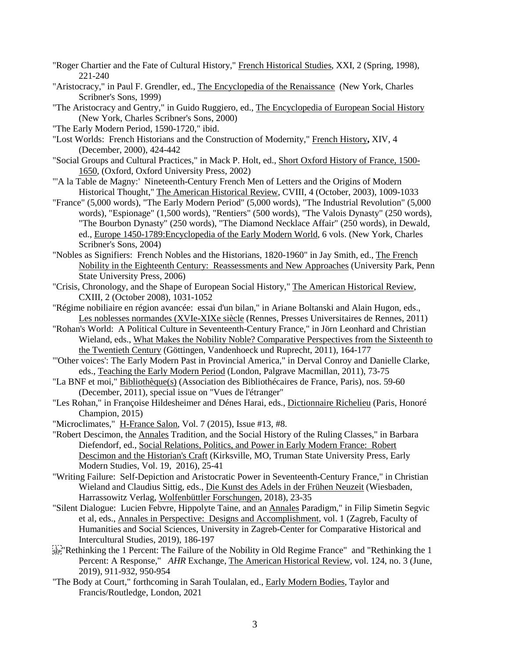- "Roger Chartier and the Fate of Cultural History," French Historical Studies, XXI, 2 (Spring, 1998), 221-240
- "Aristocracy," in Paul F. Grendler, ed., The Encyclopedia of the Renaissance (New York, Charles Scribner's Sons, 1999)
- "The Aristocracy and Gentry," in Guido Ruggiero, ed., The Encyclopedia of European Social History (New York, Charles Scribner's Sons, 2000)
- "The Early Modern Period, 1590-1720," ibid.
- "Lost Worlds: French Historians and the Construction of Modernity," French History**,** XIV, 4 (December, 2000), 424-442
- "Social Groups and Cultural Practices," in Mack P. Holt, ed., Short Oxford History of France, 1500- 1650, (Oxford, Oxford University Press, 2002)
- "'A la Table de Magny:' Nineteenth-Century French Men of Letters and the Origins of Modern Historical Thought," The American Historical Review, CVIII, 4 (October, 2003), 1009-1033
- "France" (5,000 words), "The Early Modern Period" (5,000 words), "The Industrial Revolution" (5,000 words), "Espionage" (1,500 words), "Rentiers" (500 words), "The Valois Dynasty" (250 words), "The Bourbon Dynasty" (250 words), "The Diamond Necklace Affair" (250 words), in Dewald, ed., Europe 1450-1789:Encyclopedia of the Early Modern World, 6 vols. (New York, Charles Scribner's Sons, 2004)
- "Nobles as Signifiers: French Nobles and the Historians, 1820-1960" in Jay Smith, ed., The French Nobility in the Eighteenth Century: Reassessments and New Approaches (University Park, Penn State University Press, 2006)
- "Crisis, Chronology, and the Shape of European Social History," The American Historical Review, CXIII, 2 (October 2008), 1031-1052
- "Régime nobiliaire en région avancée: essai d'un bilan," in Ariane Boltanski and Alain Hugon, eds., Les noblesses normandes (XVIe-XIXe siècle (Rennes, Presses Universitaires de Rennes, 2011)
- "Rohan's World: A Political Culture in Seventeenth-Century France," in Jörn Leonhard and Christian Wieland, eds., What Makes the Nobility Noble? Comparative Perspectives from the Sixteenth to the Twentieth Century (Göttingen, Vandenhoeck und Ruprecht, 2011), 164-177
- "'Other voices': The Early Modern Past in Provincial America," in Derval Conroy and Danielle Clarke, eds., Teaching the Early Modern Period (London, Palgrave Macmillan, 2011), 73-75
- "La BNF et moi," Bibliothèque(s) (Association des Bibliothécaires de France, Paris), nos. 59-60 (December, 2011), special issue on "Vues de l'étranger"
- "Les Rohan," in Françoise Hildesheimer and Dénes Harai, eds., Dictionnaire Richelieu (Paris, Honoré Champion, 2015)
- "Microclimates," H-France Salon, Vol. 7 (2015), Issue #13, #8.
- "Robert Descimon, the Annales Tradition, and the Social History of the Ruling Classes," in Barbara Diefendorf, ed., Social Relations, Politics, and Power in Early Modern France: Robert Descimon and the Historian's Craft (Kirksville, MO, Truman State University Press, Early Modern Studies, Vol. 19, 2016), 25-41
- "Writing Failure: Self-Depiction and Aristocratic Power in Seventeenth-Century France," in Christian Wieland and Claudius Sittig, eds., Die Kunst des Adels in der Frühen Neuzeit (Wiesbaden, Harrassowitz Verlag, Wolfenbüttler Forschungen, 2018), 23-35
- "Silent Dialogue: Lucien Febvre, Hippolyte Taine, and an Annales Paradigm," in Filip Simetin Segvic et al, eds., Annales in Perspective: Designs and Accomplishment, vol. 1 (Zagreb, Faculty of Humanities and Social Sciences, University in Zagreb-Center for Comparative Historical and Intercultural Studies, 2019), 186-197
- $\frac{1}{15}$  Rethinking the 1 Percent: The Failure of the Nobility in Old Regime France" and "Rethinking the 1 Percent: A Response," *AHR* Exchange, The American Historical Review, vol. 124, no. 3 (June, 2019), 911-932, 950-954
- "The Body at Court," forthcoming in Sarah Toulalan, ed., Early Modern Bodies, Taylor and Francis/Routledge, London, 2021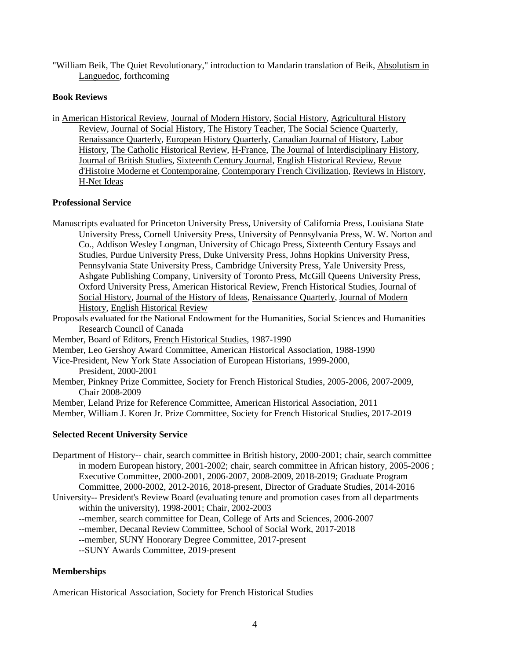"William Beik, The Quiet Revolutionary," introduction to Mandarin translation of Beik, Absolutism in Languedoc, forthcoming

# **Book Reviews**

in American Historical Review, Journal of Modern History, Social History, Agricultural History Review, Journal of Social History, The History Teacher, The Social Science Quarterly, Renaissance Quarterly, European History Quarterly, Canadian Journal of History, Labor History, The Catholic Historical Review, H-France, The Journal of Interdisciplinary History, Journal of British Studies, Sixteenth Century Journal, English Historical Review, Revue d'Histoire Moderne et Contemporaine, Contemporary French Civilization, Reviews in History, H-Net Ideas

# **Professional Service**

- Manuscripts evaluated for Princeton University Press, University of California Press, Louisiana State University Press, Cornell University Press, University of Pennsylvania Press, W. W. Norton and Co., Addison Wesley Longman, University of Chicago Press, Sixteenth Century Essays and Studies, Purdue University Press, Duke University Press, Johns Hopkins University Press, Pennsylvania State University Press, Cambridge University Press, Yale University Press, Ashgate Publishing Company, University of Toronto Press, McGill Queens University Press, Oxford University Press, American Historical Review, French Historical Studies, Journal of Social History, Journal of the History of Ideas, Renaissance Quarterly, Journal of Modern History, English Historical Review
- Proposals evaluated for the National Endowment for the Humanities, Social Sciences and Humanities Research Council of Canada
- Member, Board of Editors, French Historical Studies, 1987-1990
- Member, Leo Gershoy Award Committee, American Historical Association, 1988-1990
- Vice-President, New York State Association of European Historians, 1999-2000, President, 2000-2001
- Member, Pinkney Prize Committee, Society for French Historical Studies, 2005-2006, 2007-2009, Chair 2008-2009
- Member, Leland Prize for Reference Committee, American Historical Association, 2011
- Member, William J. Koren Jr. Prize Committee, Society for French Historical Studies, 2017-2019

# **Selected Recent University Service**

- Department of History-- chair, search committee in British history, 2000-2001; chair, search committee in modern European history, 2001-2002; chair, search committee in African history, 2005-2006 ; Executive Committee, 2000-2001, 2006-2007, 2008-2009, 2018-2019; Graduate Program Committee, 2000-2002, 2012-2016, 2018-present, Director of Graduate Studies, 2014-2016
- University-- President's Review Board (evaluating tenure and promotion cases from all departments within the university), 1998-2001; Chair, 2002-2003
	- --member, search committee for Dean, College of Arts and Sciences, 2006-2007
	- --member, Decanal Review Committee, School of Social Work, 2017-2018
	- --member, SUNY Honorary Degree Committee, 2017-present
	- --SUNY Awards Committee, 2019-present

# **Memberships**

American Historical Association, Society for French Historical Studies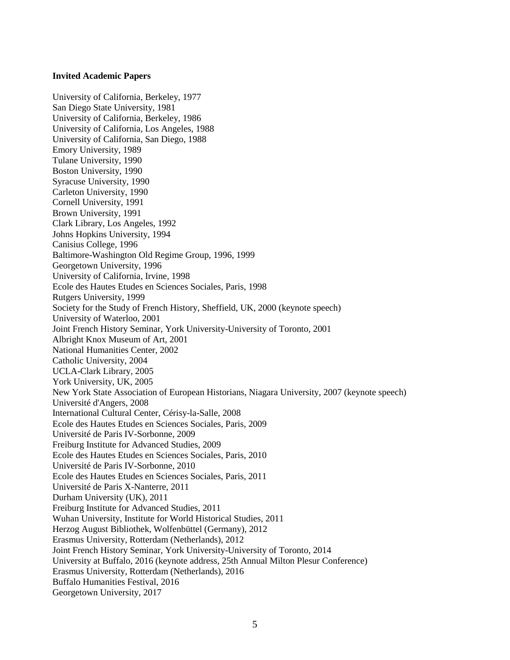### **Invited Academic Papers**

University of California, Berkeley, 1977 San Diego State University, 1981 University of California, Berkeley, 1986 University of California, Los Angeles, 1988 University of California, San Diego, 1988 Emory University, 1989 Tulane University, 1990 Boston University, 1990 Syracuse University, 1990 Carleton University, 1990 Cornell University, 1991 Brown University, 1991 Clark Library, Los Angeles, 1992 Johns Hopkins University, 1994 Canisius College, 1996 Baltimore-Washington Old Regime Group, 1996, 1999 Georgetown University, 1996 University of California, Irvine, 1998 Ecole des Hautes Etudes en Sciences Sociales, Paris, 1998 Rutgers University, 1999 Society for the Study of French History, Sheffield, UK, 2000 (keynote speech) University of Waterloo, 2001 Joint French History Seminar, York University-University of Toronto, 2001 Albright Knox Museum of Art, 2001 National Humanities Center, 2002 Catholic University, 2004 UCLA-Clark Library, 2005 York University, UK, 2005 New York State Association of European Historians, Niagara University, 2007 (keynote speech) Université d'Angers, 2008 International Cultural Center, Cérisy-la-Salle, 2008 Ecole des Hautes Etudes en Sciences Sociales, Paris, 2009 Université de Paris IV-Sorbonne, 2009 Freiburg Institute for Advanced Studies, 2009 Ecole des Hautes Etudes en Sciences Sociales, Paris, 2010 Université de Paris IV-Sorbonne, 2010 Ecole des Hautes Etudes en Sciences Sociales, Paris, 2011 Université de Paris X-Nanterre, 2011 Durham University (UK), 2011 Freiburg Institute for Advanced Studies, 2011 Wuhan University, Institute for World Historical Studies, 2011 Herzog August Bibliothek, Wolfenbüttel (Germany), 2012 Erasmus University, Rotterdam (Netherlands), 2012 Joint French History Seminar, York University-University of Toronto, 2014 University at Buffalo, 2016 (keynote address, 25th Annual Milton Plesur Conference) Erasmus University, Rotterdam (Netherlands), 2016 Buffalo Humanities Festival, 2016 Georgetown University, 2017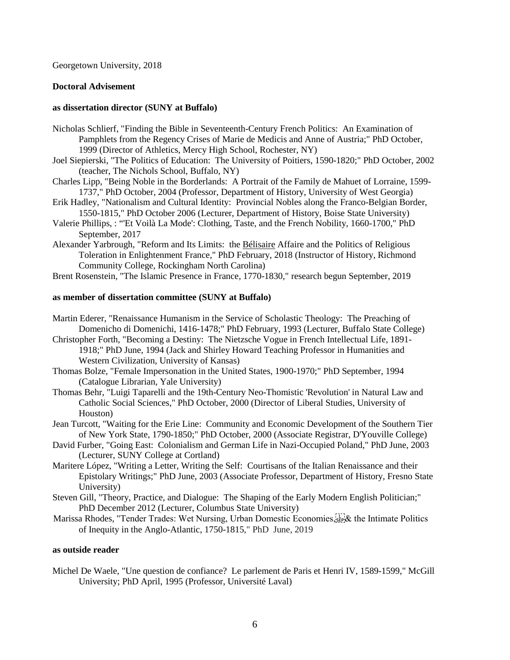Georgetown University, 2018

#### **Doctoral Advisement**

#### **as dissertation director (SUNY at Buffalo)**

- Nicholas Schlierf, "Finding the Bible in Seventeenth-Century French Politics: An Examination of Pamphlets from the Regency Crises of Marie de Medicis and Anne of Austria;" PhD October, 1999 (Director of Athletics, Mercy High School, Rochester, NY)
- Joel Siepierski, "The Politics of Education: The University of Poitiers, 1590-1820;" PhD October, 2002 (teacher, The Nichols School, Buffalo, NY)
- Charles Lipp, "Being Noble in the Borderlands: A Portrait of the Family de Mahuet of Lorraine, 1599- 1737," PhD October, 2004 (Professor, Department of History, University of West Georgia)
- Erik Hadley, "Nationalism and Cultural Identity: Provincial Nobles along the Franco-Belgian Border, 1550-1815," PhD October 2006 (Lecturer, Department of History, Boise State University)
- Valerie Phillips, : "'Et Voilà La Mode': Clothing, Taste, and the French Nobility, 1660-1700," PhD September, 2017
- Alexander Yarbrough, "Reform and Its Limits: the Bélisaire Affaire and the Politics of Religious Toleration in Enlightenment France," PhD February, 2018 (Instructor of History, Richmond Community College, Rockingham North Carolina)

Brent Rosenstein, "The Islamic Presence in France, 1770-1830," research begun September, 2019

### **as member of dissertation committee (SUNY at Buffalo)**

- Martin Ederer, "Renaissance Humanism in the Service of Scholastic Theology: The Preaching of Domenicho di Domenichi, 1416-1478;" PhD February, 1993 (Lecturer, Buffalo State College)
- Christopher Forth, "Becoming a Destiny: The Nietzsche Vogue in French Intellectual Life, 1891- 1918;" PhD June, 1994 (Jack and Shirley Howard Teaching Professor in Humanities and Western Civilization, University of Kansas)
- Thomas Bolze, "Female Impersonation in the United States, 1900-1970;" PhD September, 1994 (Catalogue Librarian, Yale University)
- Thomas Behr, "Luigi Taparelli and the 19th-Century Neo-Thomistic 'Revolution' in Natural Law and Catholic Social Sciences," PhD October, 2000 (Director of Liberal Studies, University of Houston)
- Jean Turcott, "Waiting for the Erie Line: Community and Economic Development of the Southern Tier of New York State, 1790-1850;" PhD October, 2000 (Associate Registrar, D'Youville College)
- David Furber, "Going East: Colonialism and German Life in Nazi-Occupied Poland," PhD June, 2003 (Lecturer, SUNY College at Cortland)
- Maritere López, "Writing a Letter, Writing the Self: Courtisans of the Italian Renaissance and their Epistolary Writings;" PhD June, 2003 (Associate Professor, Department of History, Fresno State University)
- Steven Gill, "Theory, Practice, and Dialogue: The Shaping of the Early Modern English Politician;" PhD December 2012 (Lecturer, Columbus State University)
- Marissa Rhodes, "Tender Trades: Wet Nursing, Urban Domestic Economies, Free the Intimate Politics of Inequity in the Anglo-Atlantic, 1750-1815," PhD June, 2019

# **as outside reader**

Michel De Waele, "Une question de confiance? Le parlement de Paris et Henri IV, 1589-1599," McGill University; PhD April, 1995 (Professor, Université Laval)